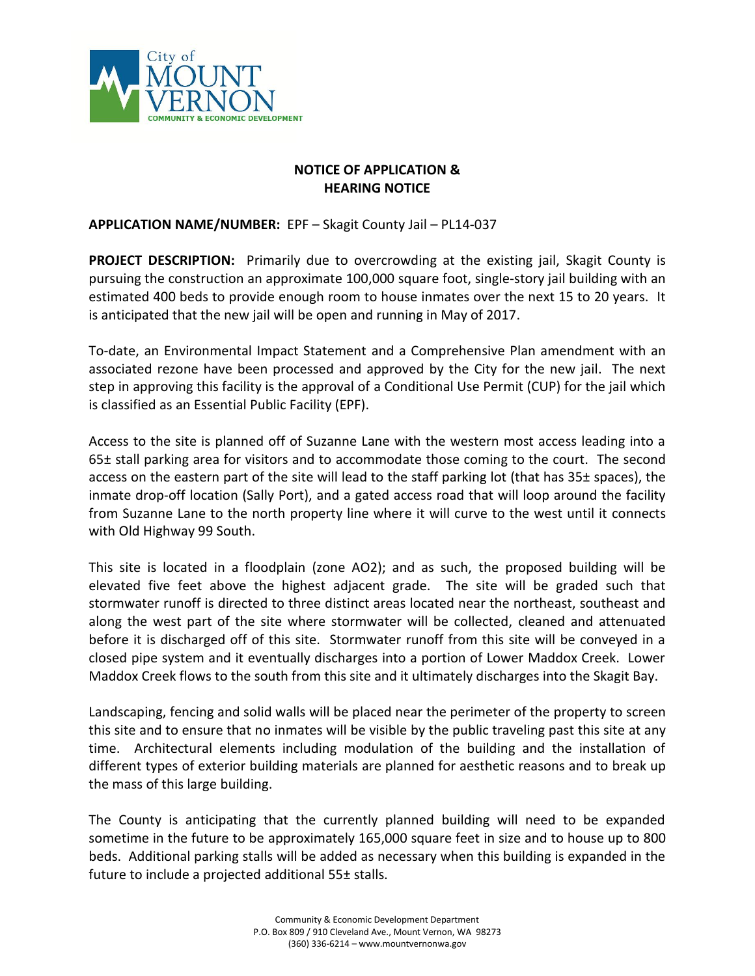

## **NOTICE OF APPLICATION & HEARING NOTICE**

## **APPLICATION NAME/NUMBER:** EPF – Skagit County Jail – PL14-037

**PROJECT DESCRIPTION:** Primarily due to overcrowding at the existing jail, Skagit County is pursuing the construction an approximate 100,000 square foot, single-story jail building with an estimated 400 beds to provide enough room to house inmates over the next 15 to 20 years. It is anticipated that the new jail will be open and running in May of 2017.

To-date, an Environmental Impact Statement and a Comprehensive Plan amendment with an associated rezone have been processed and approved by the City for the new jail. The next step in approving this facility is the approval of a Conditional Use Permit (CUP) for the jail which is classified as an Essential Public Facility (EPF).

Access to the site is planned off of Suzanne Lane with the western most access leading into a  $65±$  stall parking area for visitors and to accommodate those coming to the court. The second access on the eastern part of the site will lead to the staff parking lot (that has 35± spaces), the inmate drop-off location (Sally Port), and a gated access road that will loop around the facility from Suzanne Lane to the north property line where it will curve to the west until it connects with Old Highway 99 South.

This site is located in a floodplain (zone AO2); and as such, the proposed building will be elevated five feet above the highest adjacent grade. The site will be graded such that stormwater runoff is directed to three distinct areas located near the northeast, southeast and along the west part of the site where stormwater will be collected, cleaned and attenuated before it is discharged off of this site. Stormwater runoff from this site will be conveyed in a closed pipe system and it eventually discharges into a portion of Lower Maddox Creek. Lower Maddox Creek flows to the south from this site and it ultimately discharges into the Skagit Bay.

Landscaping, fencing and solid walls will be placed near the perimeter of the property to screen this site and to ensure that no inmates will be visible by the public traveling past this site at any time. Architectural elements including modulation of the building and the installation of different types of exterior building materials are planned for aesthetic reasons and to break up the mass of this large building.

The County is anticipating that the currently planned building will need to be expanded sometime in the future to be approximately 165,000 square feet in size and to house up to 800 beds. Additional parking stalls will be added as necessary when this building is expanded in the future to include a projected additional 55± stalls.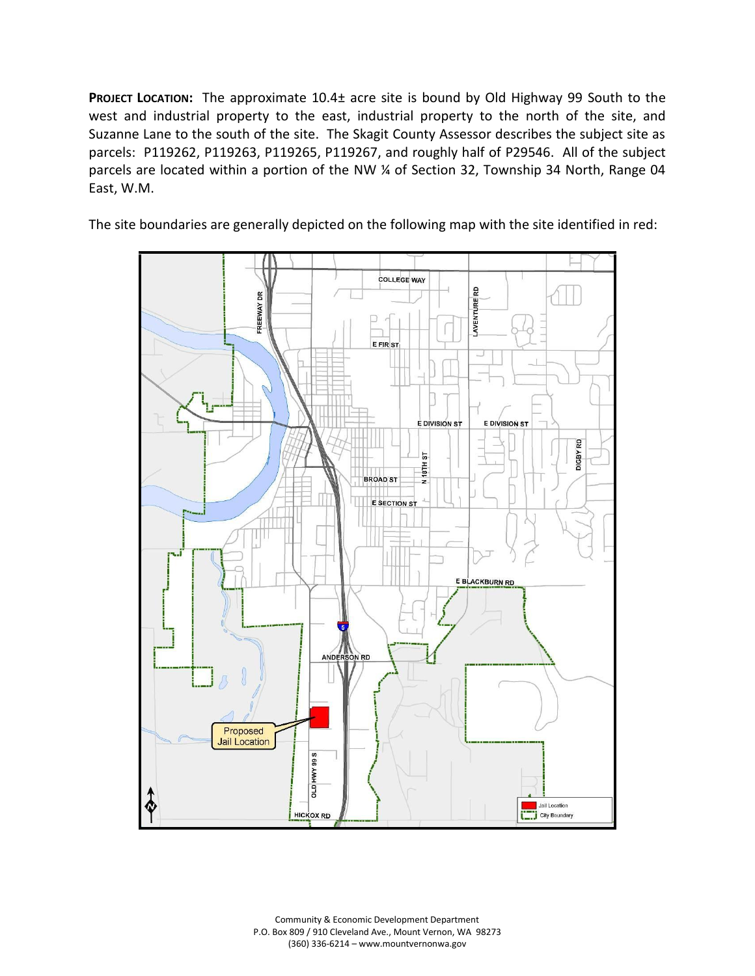**PROJECT LOCATION:** The approximate 10.4<sup>+</sup> acre site is bound by Old Highway 99 South to the west and industrial property to the east, industrial property to the north of the site, and Suzanne Lane to the south of the site. The Skagit County Assessor describes the subject site as parcels: P119262, P119263, P119265, P119267, and roughly half of P29546. All of the subject parcels are located within a portion of the NW ¼ of Section 32, Township 34 North, Range 04 East, W.M.

The site boundaries are generally depicted on the following map with the site identified in red:



Community & Economic Development Department P.O. Box 809 / 910 Cleveland Ave., Mount Vernon, WA 98273 (360) 336-6214 – www.mountvernonwa.gov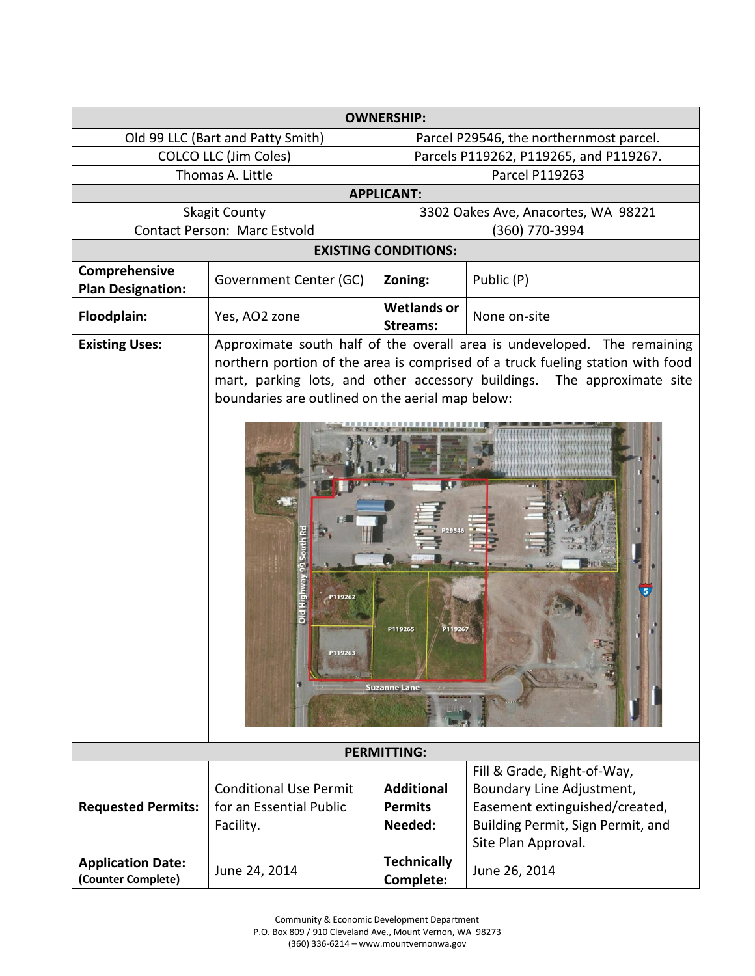| <b>OWNERSHIP:</b>                              |                                                                                                                                                                                                                                                                                                                                                                                                   |                                         |                                   |  |
|------------------------------------------------|---------------------------------------------------------------------------------------------------------------------------------------------------------------------------------------------------------------------------------------------------------------------------------------------------------------------------------------------------------------------------------------------------|-----------------------------------------|-----------------------------------|--|
| Old 99 LLC (Bart and Patty Smith)              |                                                                                                                                                                                                                                                                                                                                                                                                   | Parcel P29546, the northernmost parcel. |                                   |  |
| <b>COLCO LLC (Jim Coles)</b>                   |                                                                                                                                                                                                                                                                                                                                                                                                   | Parcels P119262, P119265, and P119267.  |                                   |  |
| Thomas A. Little                               |                                                                                                                                                                                                                                                                                                                                                                                                   | <b>Parcel P119263</b>                   |                                   |  |
| <b>APPLICANT:</b>                              |                                                                                                                                                                                                                                                                                                                                                                                                   |                                         |                                   |  |
| <b>Skagit County</b>                           |                                                                                                                                                                                                                                                                                                                                                                                                   | 3302 Oakes Ave, Anacortes, WA 98221     |                                   |  |
| Contact Person: Marc Estvold                   |                                                                                                                                                                                                                                                                                                                                                                                                   | (360) 770-3994                          |                                   |  |
| <b>EXISTING CONDITIONS:</b>                    |                                                                                                                                                                                                                                                                                                                                                                                                   |                                         |                                   |  |
| Comprehensive<br><b>Plan Designation:</b>      | Government Center (GC)                                                                                                                                                                                                                                                                                                                                                                            | Zoning:                                 | Public (P)                        |  |
| Floodplain:                                    | Yes, AO2 zone                                                                                                                                                                                                                                                                                                                                                                                     | <b>Wetlands or</b><br><b>Streams:</b>   | None on-site                      |  |
| <b>Existing Uses:</b>                          | Approximate south half of the overall area is undeveloped. The remaining<br>northern portion of the area is comprised of a truck fueling station with food<br>mart, parking lots, and other accessory buildings. The approximate site<br>boundaries are outlined on the aerial map below:<br>Old Highway<br>P119262<br>P119267<br>P119265<br>P119263<br><b>Suzanne Lane</b><br><b>PERMITTING:</b> |                                         |                                   |  |
| Fill & Grade, Right-of-Way,                    |                                                                                                                                                                                                                                                                                                                                                                                                   |                                         |                                   |  |
| <b>Requested Permits:</b>                      | <b>Conditional Use Permit</b>                                                                                                                                                                                                                                                                                                                                                                     | <b>Additional</b>                       | Boundary Line Adjustment,         |  |
|                                                | for an Essential Public                                                                                                                                                                                                                                                                                                                                                                           | <b>Permits</b>                          | Easement extinguished/created,    |  |
|                                                | Facility.                                                                                                                                                                                                                                                                                                                                                                                         | Needed:                                 | Building Permit, Sign Permit, and |  |
|                                                |                                                                                                                                                                                                                                                                                                                                                                                                   |                                         | Site Plan Approval.               |  |
| <b>Application Date:</b><br>(Counter Complete) | June 24, 2014                                                                                                                                                                                                                                                                                                                                                                                     | <b>Technically</b><br>Complete:         | June 26, 2014                     |  |